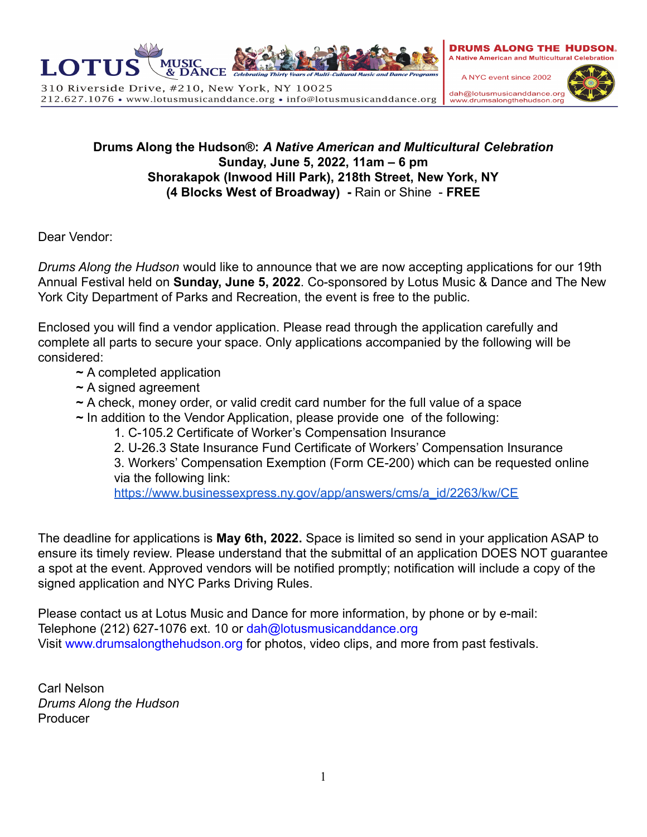

310 Riverside Drive, #210, New York, NY 10025 212.627.1076 • www.lotusmusicanddance.org • info@lotusmusicanddance.org **DRUMS ALONG THE HUDSON. A Native American and Multicultural Celebration** 

A NYC event since 2002 dah@lotusmusicanddance.org www.drumsalongthehudson.or



## **Drums Along the Hudson®:** *A Native American and Multicultural Celebration* **Sunday, June 5, 2022, 11am – 6 pm Shorakapok (Inwood Hill Park), 218th Street, New York, NY (4 Blocks West of Broadway) -** Rain or Shine - **FREE**

Dear Vendor:

*Drums Along the Hudson* would like to announce that we are now accepting applications for our 19th Annual Festival held on **Sunday, June 5, 2022**. Co-sponsored by Lotus Music & Dance and The New York City Department of Parks and Recreation, the event is free to the public.

Enclosed you will find a vendor application. Please read through the application carefully and complete all parts to secure your space. Only applications accompanied by the following will be considered:

- **~** A completed application
- **~** A signed agreement
- **~** A check, money order, or valid credit card number for the full value of a space
- **~** In addition to the Vendor Application, please provide one of the following:
	- 1. C-105.2 Certificate of Worker's Compensation Insurance
	- 2. U-26.3 State Insurance Fund Certificate of Workers' Compensation Insurance

3. Workers' Compensation Exemption (Form CE-200) which can be requested online via the following link:

[https://www.businessexpress.ny.gov/app/answers/cms/a\\_id/2263/kw/CE](https://www.businessexpress.ny.gov/app/answers/cms/a_id/2263/kw/CE)

The deadline for applications is **May 6th, 2022.** Space is limited so send in your application ASAP to ensure its timely review. Please understand that the submittal of an application DOES NOT guarantee a spot at the event. Approved vendors will be notified promptly; notification will include a copy of the signed application and NYC Parks Driving Rules.

Please contact us at Lotus Music and Dance for more information, by phone or by e-mail: Telephone (212) 627-1076 ext. 10 or dah@lotusmusicanddance.org Visit www.drumsalongthehudson.org for photos, video clips, and more from past festivals.

Carl Nelson *Drums Along the Hudson* Producer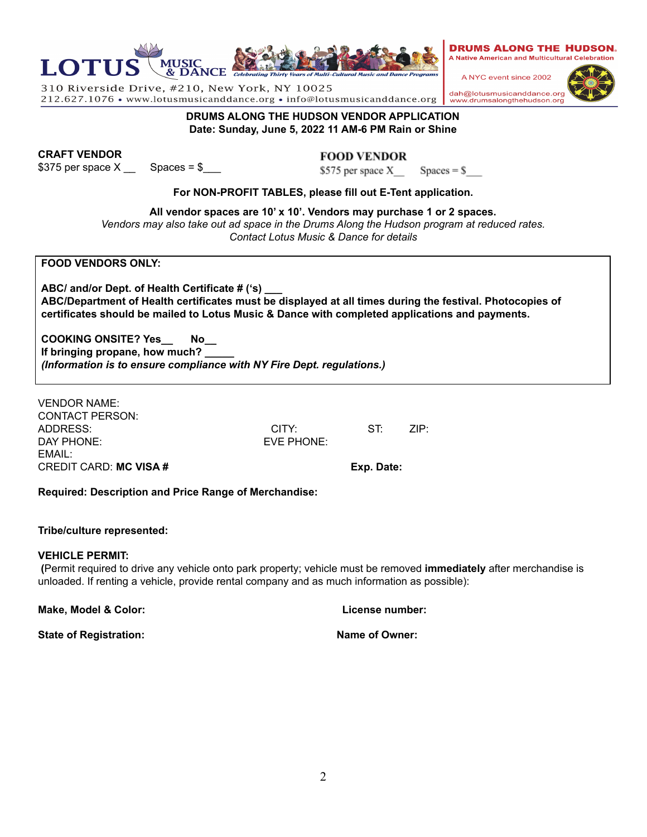

**DRUMS ALONG THE HUDSON VENDOR APPLICATION Date: Sunday, June 5, 2022 11 AM-6 PM Rain or Shine**

212.627.1076 • www.lotusmusicanddance.org • info@lotusmusicanddance.org

**CRAFT VENDOR**

**LOTU** 

 $$375$  per space  $X \_$  Spaces =  $$$ 

310 Riverside Drive, #210, New York, NY 10025

**All vendor spaces are 10' x 10'. Vendors may purchase 1 or 2 spaces.** *Vendors may also take out ad space in the Drums Along the Hudson program at reduced rates. Contact Lotus Music & Dance for details*

**FOOD VENDORS ONLY:**

**ABC/ and/or Dept. of Health Certificate # ('s) \_\_\_ ABC/Department of Health certificates must be displayed at all times during the festival. Photocopies of certificates should be mailed to Lotus Music & Dance with completed applications and payments.**

**COOKING ONSITE? Yes\_\_ No\_\_ If bringing propane, how much? \_\_\_\_\_** *(Information is to ensure compliance with NY Fire Dept. regulations.)*

VENDOR NAME: CONTACT PERSON: ADDRESS: CITY: ST: ZIP: DAY PHONE: EVE PHONE: EMAIL: CREDIT CARD: **MC VISA # Exp. Date:**

**Required: Description and Price Range of Merchandise:**

## **Tribe/culture represented:**

## **VEHICLE PERMIT:**

**(**Permit required to drive any vehicle onto park property; vehicle must be removed **immediately** after merchandise is unloaded. If renting a vehicle, provide rental company and as much information as possible):

**Make, Model & Color: License number:**

**State of Registration: Name of Owner:**



A NYC event since 2002 dah@lotusmusicanddance.org ww.drumsalongthehudson.org